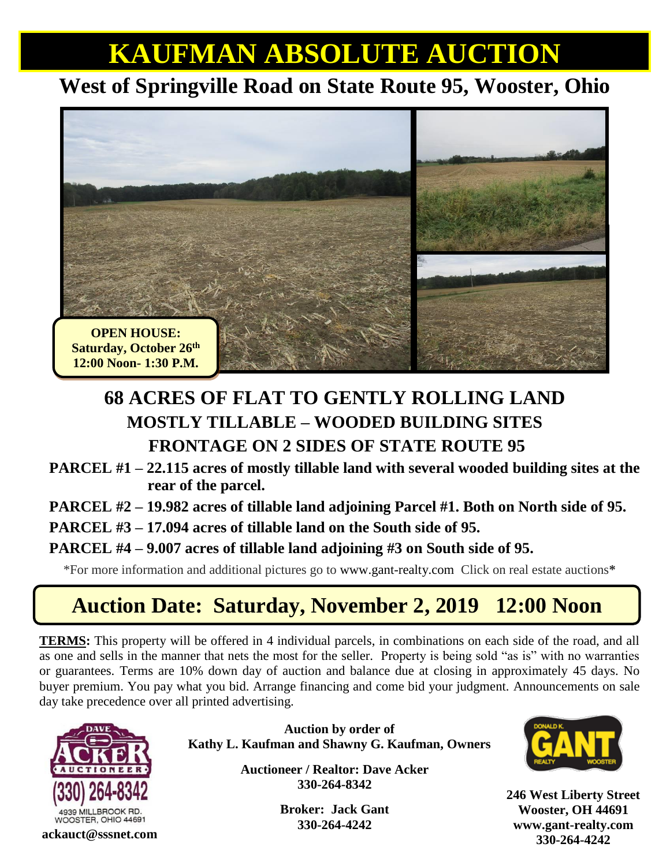# **KAUFMAN ABSOLUTE AUCTION**

## **West of Springville Road on State Route 95, Wooster, Ohio**



### **68 ACRES OF FLAT TO GENTLY ROLLING LAND MOSTLY TILLABLE – WOODED BUILDING SITES FRONTAGE ON 2 SIDES OF STATE ROUTE 95**

**PARCEL #1 – 22.115 acres of mostly tillable land with several wooded building sites at the rear of the parcel.** 

**PARCEL #2 – 19.982 acres of tillable land adjoining Parcel #1. Both on North side of 95.** 

**PARCEL #3 – 17.094 acres of tillable land on the South side of 95.** 

#### **PARCEL #4 – 9.007 acres of tillable land adjoining #3 on South side of 95.**

\*For more information and additional pictures go to [www.gant-realty.com](http://www.gant-realty.com/) Click on real estate auctions**\***

## **Auction Date: Saturday, November 2, 2019 12:00 Noon**

**TERMS:** This property will be offered in 4 individual parcels, in combinations on each side of the road, and all as one and sells in the manner that nets the most for the seller. Property is being sold "as is" with no warranties or guarantees. Terms are 10% down day of auction and balance due at closing in approximately 45 days. No buyer premium. You pay what you bid. Arrange financing and come bid your judgment. Announcements on sale day take precedence over all printed advertising.



**Auction by order of Kathy L. Kaufman and Shawny G. Kaufman, Owners**

> **Auctioneer / Realtor: Dave Acker 330-264-8342**

> > **Broker: Jack Gant 330-264-4242**



**246 West Liberty Street Wooster, OH 44691 [www.gant-realty.com](http://www.gant-realty.com/) 330-264-4242 ackauct@sssnet.com**